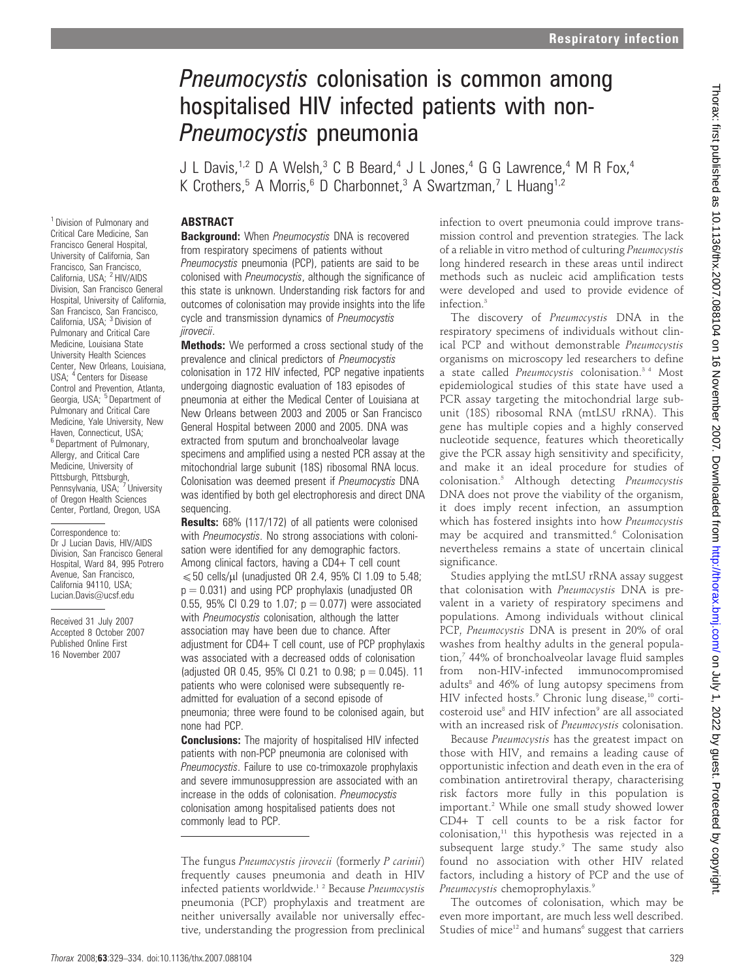# Pneumocystis colonisation is common among hospitalised HIV infected patients with non-Pneumocystis pneumonia

J L Davis,<sup>1,2</sup> D A Welsh,<sup>3</sup> C B Beard,<sup>4</sup> J L Jones,<sup>4</sup> G G Lawrence,<sup>4</sup> M R Fox,<sup>4</sup> K Crothers,<sup>5</sup> A Morris,<sup>6</sup> D Charbonnet,<sup>3</sup> A Swartzman,<sup>7</sup> L Huang<sup>1,2</sup>

# **ABSTRACT**

**Background:** When Pneumocystis DNA is recovered from respiratory specimens of patients without Pneumocystis pneumonia (PCP), patients are said to be colonised with Pneumocystis, although the significance of this state is unknown. Understanding risk factors for and outcomes of colonisation may provide insights into the life cycle and transmission dynamics of Pneumocystis jirovecii.

Methods: We performed a cross sectional study of the prevalence and clinical predictors of Pneumocystis colonisation in 172 HIV infected, PCP negative inpatients undergoing diagnostic evaluation of 183 episodes of pneumonia at either the Medical Center of Louisiana at New Orleans between 2003 and 2005 or San Francisco General Hospital between 2000 and 2005. DNA was extracted from sputum and bronchoalveolar lavage specimens and amplified using a nested PCR assay at the mitochondrial large subunit (18S) ribosomal RNA locus. Colonisation was deemed present if Pneumocystis DNA was identified by both gel electrophoresis and direct DNA sequencing.

Results: 68% (117/172) of all patients were colonised with Pneumocystis. No strong associations with colonisation were identified for any demographic factors. Among clinical factors, having a CD4+ T cell count  $\leq 50$  cells/µl (unadjusted OR 2.4, 95% CI 1.09 to 5.48;  $p = 0.031$ ) and using PCP prophylaxis (unadjusted OR 0.55, 95% CI 0.29 to 1.07;  $p = 0.077$ ) were associated with Pneumocystis colonisation, although the latter association may have been due to chance. After adjustment for CD4+ T cell count, use of PCP prophylaxis was associated with a decreased odds of colonisation (adjusted OR 0.45, 95% CI 0.21 to 0.98;  $p = 0.045$ ). 11 patients who were colonised were subsequently readmitted for evaluation of a second episode of pneumonia; three were found to be colonised again, but none had PCP.

**Conclusions:** The majority of hospitalised HIV infected patients with non-PCP pneumonia are colonised with Pneumocystis. Failure to use co-trimoxazole prophylaxis and severe immunosuppression are associated with an increase in the odds of colonisation. Pneumocystis colonisation among hospitalised patients does not commonly lead to PCP.

The fungus Pneumocystis jirovecii (formerly P carinii) frequently causes pneumonia and death in HIV infected patients worldwide.1 2 Because Pneumocystis pneumonia (PCP) prophylaxis and treatment are neither universally available nor universally effective, understanding the progression from preclinical infection to overt pneumonia could improve transmission control and prevention strategies. The lack of a reliable in vitro method of culturing Pneumocystis long hindered research in these areas until indirect methods such as nucleic acid amplification tests were developed and used to provide evidence of infection.3

The discovery of Pneumocystis DNA in the respiratory specimens of individuals without clinical PCP and without demonstrable Pneumocystis organisms on microscopy led researchers to define a state called *Pneumocystis* colonisation.<sup>34</sup> Most epidemiological studies of this state have used a PCR assay targeting the mitochondrial large subunit (18S) ribosomal RNA (mtLSU rRNA). This gene has multiple copies and a highly conserved nucleotide sequence, features which theoretically give the PCR assay high sensitivity and specificity, and make it an ideal procedure for studies of colonisation.5 Although detecting Pneumocystis DNA does not prove the viability of the organism, it does imply recent infection, an assumption which has fostered insights into how Pneumocystis may be acquired and transmitted.<sup>6</sup> Colonisation nevertheless remains a state of uncertain clinical significance.

Studies applying the mtLSU rRNA assay suggest that colonisation with Pneumocystis DNA is prevalent in a variety of respiratory specimens and populations. Among individuals without clinical PCP, Pneumocystis DNA is present in 20% of oral washes from healthy adults in the general population,7 44% of bronchoalveolar lavage fluid samples from non-HIV-infected immunocompromised adults<sup>8</sup> and  $46\%$  of lung autopsy specimens from HIV infected hosts.<sup>9</sup> Chronic lung disease,<sup>10</sup> corticosteroid use<sup>8</sup> and HIV infection<sup>9</sup> are all associated with an increased risk of Pneumocystis colonisation.

Because Pneumocystis has the greatest impact on those with HIV, and remains a leading cause of opportunistic infection and death even in the era of combination antiretroviral therapy, characterising risk factors more fully in this population is important.2 While one small study showed lower CD4+ T cell counts to be a risk factor for colonisation,<sup>11</sup> this hypothesis was rejected in a subsequent large study.<sup>9</sup> The same study also found no association with other HIV related factors, including a history of PCP and the use of Pneumocystis chemoprophylaxis.<sup>9</sup>

The outcomes of colonisation, which may be even more important, are much less well described. Studies of mice<sup>12</sup> and humans<sup>6</sup> suggest that carriers

<sup>1</sup> Division of Pulmonary and Critical Care Medicine, San Francisco General Hospital, University of California, San Francisco, San Francisco, California, USA; <sup>2</sup> HIV/AIDS Division, San Francisco General Hospital, University of California, San Francisco, San Francisco, California, USA; <sup>3</sup> Division of Pulmonary and Critical Care Medicine, Louisiana State University Health Sciences Center, New Orleans, Louisiana, USA; <sup>4</sup> Centers for Disease Control and Prevention, Atlanta, Georgia, USA; <sup>5</sup> Department of Pulmonary and Critical Care Medicine, Yale University, New Haven, Connecticut, USA; <sup>6</sup> Department of Pulmonary, Allergy, and Critical Care Medicine, University of Pittsburgh, Pittsburgh, Pennsylvania, USA; 7 University of Oregon Health Sciences Center, Portland, Oregon, USA

Received 31 July 2007 Accepted 8 October 2007 Published Online First 16 November 2007

Correspondence to: Dr J Lucian Davis, HIV/AIDS Division, San Francisco General Hospital, Ward 84, 995 Potrero Avenue, San Francisco, California 94110, USA; Lucian.Davis@ucsf.edu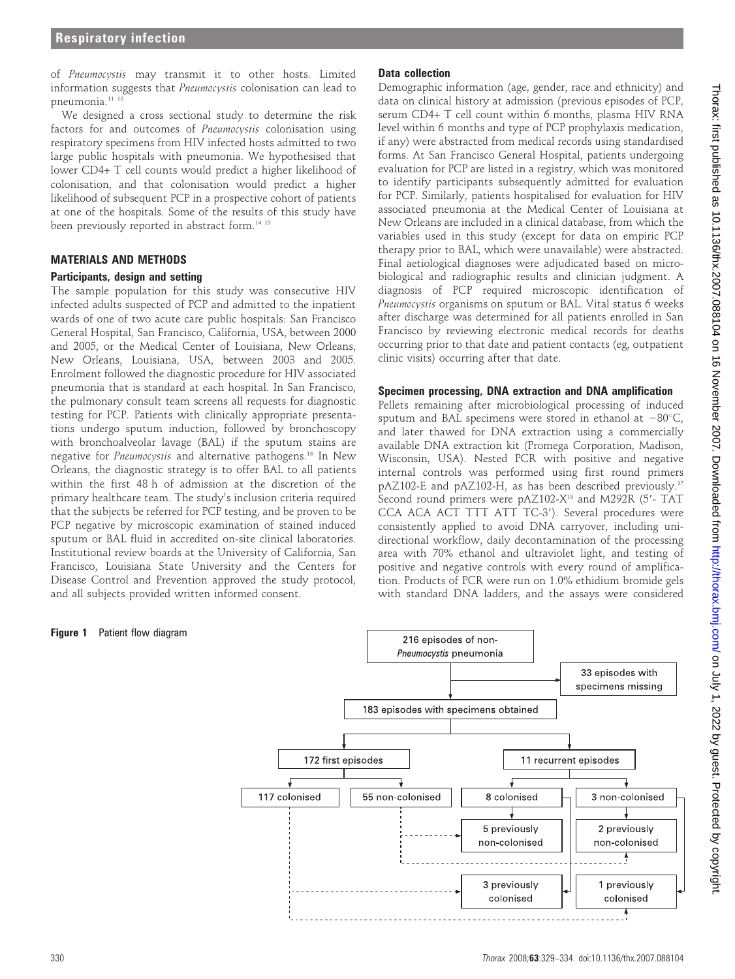of Pneumocystis may transmit it to other hosts. Limited information suggests that *Pneumocystis* colonisation can lead to pneumonia.<sup>11 13</sup>

We designed a cross sectional study to determine the risk factors for and outcomes of Pneumocystis colonisation using respiratory specimens from HIV infected hosts admitted to two large public hospitals with pneumonia. We hypothesised that lower CD4+ T cell counts would predict a higher likelihood of colonisation, and that colonisation would predict a higher likelihood of subsequent PCP in a prospective cohort of patients at one of the hospitals. Some of the results of this study have been previously reported in abstract form.<sup>14 15</sup>

# MATERIALS AND METHODS

## Participants, design and setting

The sample population for this study was consecutive HIV infected adults suspected of PCP and admitted to the inpatient wards of one of two acute care public hospitals: San Francisco General Hospital, San Francisco, California, USA, between 2000 and 2005, or the Medical Center of Louisiana, New Orleans, New Orleans, Louisiana, USA, between 2003 and 2005. Enrolment followed the diagnostic procedure for HIV associated pneumonia that is standard at each hospital. In San Francisco, the pulmonary consult team screens all requests for diagnostic testing for PCP. Patients with clinically appropriate presentations undergo sputum induction, followed by bronchoscopy with bronchoalveolar lavage (BAL) if the sputum stains are negative for *Pneumocystis* and alternative pathogens.<sup>16</sup> In New Orleans, the diagnostic strategy is to offer BAL to all patients within the first 48 h of admission at the discretion of the primary healthcare team. The study's inclusion criteria required that the subjects be referred for PCP testing, and be proven to be PCP negative by microscopic examination of stained induced sputum or BAL fluid in accredited on-site clinical laboratories. Institutional review boards at the University of California, San Francisco, Louisiana State University and the Centers for Disease Control and Prevention approved the study protocol, and all subjects provided written informed consent.

## Data collection

Demographic information (age, gender, race and ethnicity) and data on clinical history at admission (previous episodes of PCP, serum CD4+ T cell count within 6 months, plasma HIV RNA level within 6 months and type of PCP prophylaxis medication, if any) were abstracted from medical records using standardised forms. At San Francisco General Hospital, patients undergoing evaluation for PCP are listed in a registry, which was monitored to identify participants subsequently admitted for evaluation for PCP. Similarly, patients hospitalised for evaluation for HIV associated pneumonia at the Medical Center of Louisiana at New Orleans are included in a clinical database, from which the variables used in this study (except for data on empiric PCP therapy prior to BAL, which were unavailable) were abstracted. Final aetiological diagnoses were adjudicated based on microbiological and radiographic results and clinician judgment. A diagnosis of PCP required microscopic identification of Pneumocystis organisms on sputum or BAL. Vital status 6 weeks after discharge was determined for all patients enrolled in San Francisco by reviewing electronic medical records for deaths occurring prior to that date and patient contacts (eg, outpatient clinic visits) occurring after that date.

## Specimen processing, DNA extraction and DNA amplification

Pellets remaining after microbiological processing of induced sputum and BAL specimens were stored in ethanol at  $-80^{\circ}$ C, and later thawed for DNA extraction using a commercially available DNA extraction kit (Promega Corporation, Madison, Wisconsin, USA). Nested PCR with positive and negative internal controls was performed using first round primers pAZ102-E and pAZ102-H, as has been described previously.17 Second round primers were pAZ102- $X^{18}$  and M292R (5'- TAT CCA ACA ACT TTT ATT TC-3'). Several procedures were consistently applied to avoid DNA carryover, including unidirectional workflow, daily decontamination of the processing area with 70% ethanol and ultraviolet light, and testing of positive and negative controls with every round of amplification. Products of PCR were run on 1.0% ethidium bromide gels with standard DNA ladders, and the assays were considered

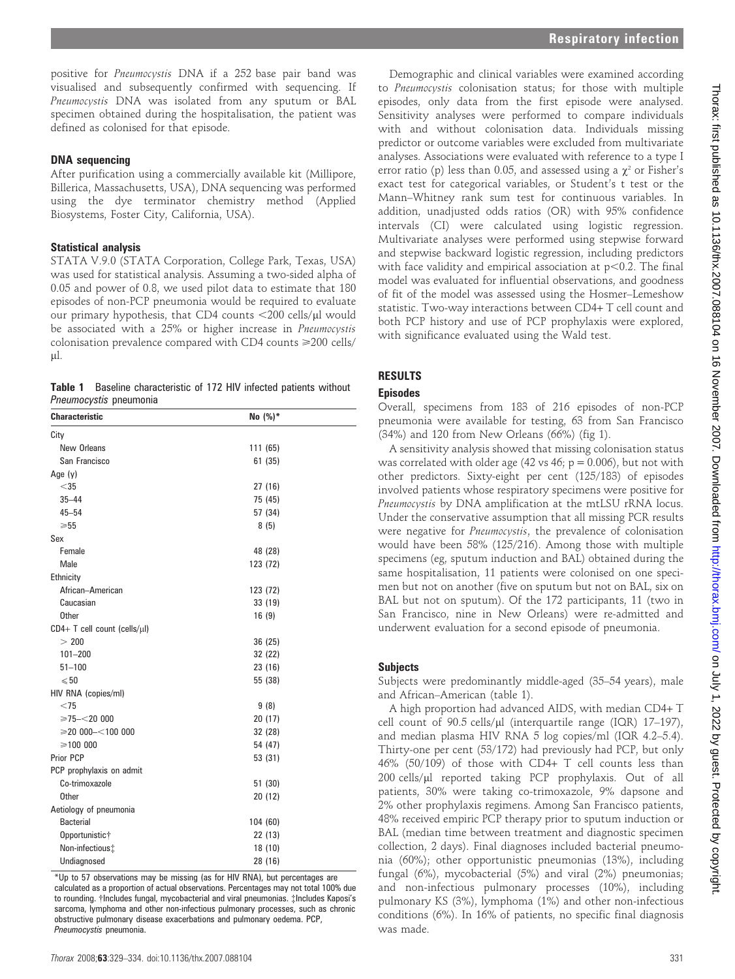positive for Pneumocystis DNA if a 252 base pair band was visualised and subsequently confirmed with sequencing. If Pneumocystis DNA was isolated from any sputum or BAL specimen obtained during the hospitalisation, the patient was defined as colonised for that episode.

#### DNA sequencing

After purification using a commercially available kit (Millipore, Billerica, Massachusetts, USA), DNA sequencing was performed using the dye terminator chemistry method (Applied Biosystems, Foster City, California, USA).

#### Statistical analysis

STATA V.9.0 (STATA Corporation, College Park, Texas, USA) was used for statistical analysis. Assuming a two-sided alpha of 0.05 and power of 0.8, we used pilot data to estimate that 180 episodes of non-PCP pneumonia would be required to evaluate our primary hypothesis, that CD4 counts  $\langle 200 \text{ cells/}\mu\vert$  would be associated with a 25% or higher increase in Pneumocystis colonisation prevalence compared with CD4 counts  $\geq 200$  cells/ ml.

|                        | <b>Table 1</b> Baseline characteristic of 172 HIV infected patients without |  |  |  |
|------------------------|-----------------------------------------------------------------------------|--|--|--|
| Pneumocystis pneumonia |                                                                             |  |  |  |

| <b>Characteristic</b>        | $No (%)$ * |  |
|------------------------------|------------|--|
| City                         |            |  |
| New Orleans                  | 111 (65)   |  |
| San Francisco                | 61 (35)    |  |
| Age (y)                      |            |  |
| $<$ 35                       | 27(16)     |  |
| $35 - 44$                    | 75 (45)    |  |
| $45 - 54$                    | 57 (34)    |  |
| $\geqslant55$                | 8(5)       |  |
| Sex                          |            |  |
| Female                       | 48 (28)    |  |
| Male                         | 123 (72)   |  |
| Ethnicity                    |            |  |
| African-American             | 123 (72)   |  |
| Caucasian                    | 33 (19)    |  |
| <b>Other</b>                 | 16(9)      |  |
| CD4+ T cell count (cells/µl) |            |  |
| >200                         | 36(25)     |  |
| $101 - 200$                  | 32 (22)    |  |
| $51 - 100$                   | 23 (16)    |  |
| $\leqslant 50$               | 55 (38)    |  |
| HIV RNA (copies/ml)          |            |  |
| $<$ 75                       | 9(8)       |  |
| $\geq 75 - 20000$            | 20(17)     |  |
| $\geq$ 20 000 - < 100 000    | 32 (28)    |  |
| $\geq 100000$                | 54 (47)    |  |
| Prior PCP                    | 53 (31)    |  |
| PCP prophylaxis on admit     |            |  |
| Co-trimoxazole               | 51 (30)    |  |
| <b>Other</b>                 | 20(12)     |  |
| Aetiology of pneumonia       |            |  |
| Bacterial                    | 104 (60)   |  |
| Opportunistic†               | 22 (13)    |  |
| Non-infectious:              | 18 (10)    |  |
| Undiagnosed                  | 28 (16)    |  |

\*Up to 57 observations may be missing (as for HIV RNA), but percentages are calculated as a proportion of actual observations. Percentages may not total 100% due to rounding. {Includes fungal, mycobacterial and viral pneumonias. {Includes Kaposi's sarcoma, lymphoma and other non-infectious pulmonary processes, such as chronic obstructive pulmonary disease exacerbations and pulmonary oedema. PCP, Pneumocystis pneumonia.

Demographic and clinical variables were examined according to Pneumocystis colonisation status; for those with multiple episodes, only data from the first episode were analysed. Sensitivity analyses were performed to compare individuals with and without colonisation data. Individuals missing predictor or outcome variables were excluded from multivariate analyses. Associations were evaluated with reference to a type I error ratio (p) less than 0.05, and assessed using a  $\chi^2$  or Fisher's exact test for categorical variables, or Student's t test or the Mann–Whitney rank sum test for continuous variables. In addition, unadjusted odds ratios (OR) with 95% confidence intervals (CI) were calculated using logistic regression. Multivariate analyses were performed using stepwise forward and stepwise backward logistic regression, including predictors with face validity and empirical association at  $p<0.2$ . The final model was evaluated for influential observations, and goodness of fit of the model was assessed using the Hosmer–Lemeshow statistic. Two-way interactions between CD4+ T cell count and both PCP history and use of PCP prophylaxis were explored, with significance evaluated using the Wald test.

## RESULTS

#### Episodes

Overall, specimens from 183 of 216 episodes of non-PCP pneumonia were available for testing, 63 from San Francisco (34%) and 120 from New Orleans (66%) (fig 1).

A sensitivity analysis showed that missing colonisation status was correlated with older age (42 vs 46;  $p = 0.006$ ), but not with other predictors. Sixty-eight per cent (125/183) of episodes involved patients whose respiratory specimens were positive for Pneumocystis by DNA amplification at the mtLSU rRNA locus. Under the conservative assumption that all missing PCR results were negative for Pneumocystis, the prevalence of colonisation would have been 58% (125/216). Among those with multiple specimens (eg, sputum induction and BAL) obtained during the same hospitalisation, 11 patients were colonised on one specimen but not on another (five on sputum but not on BAL, six on BAL but not on sputum). Of the 172 participants, 11 (two in San Francisco, nine in New Orleans) were re-admitted and underwent evaluation for a second episode of pneumonia.

#### Subjects

Subjects were predominantly middle-aged (35–54 years), male and African–American (table 1).

A high proportion had advanced AIDS, with median CD4+ T cell count of 90.5 cells/ $\mu$ l (interquartile range (IQR) 17-197), and median plasma HIV RNA 5 log copies/ml (IQR 4.2–5.4). Thirty-one per cent (53/172) had previously had PCP, but only 46% (50/109) of those with CD4+ T cell counts less than 200 cells/µl reported taking PCP prophylaxis. Out of all patients, 30% were taking co-trimoxazole, 9% dapsone and 2% other prophylaxis regimens. Among San Francisco patients, 48% received empiric PCP therapy prior to sputum induction or BAL (median time between treatment and diagnostic specimen collection, 2 days). Final diagnoses included bacterial pneumonia (60%); other opportunistic pneumonias (13%), including fungal (6%), mycobacterial (5%) and viral (2%) pneumonias; and non-infectious pulmonary processes (10%), including pulmonary KS (3%), lymphoma (1%) and other non-infectious conditions (6%). In 16% of patients, no specific final diagnosis was made.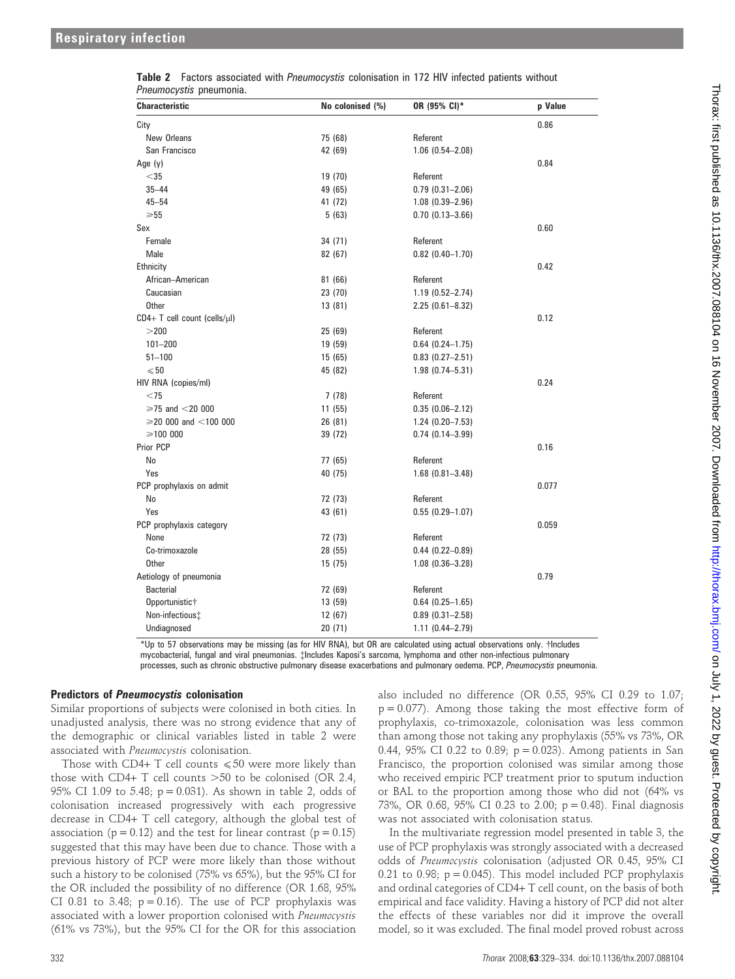| <b>Characteristic</b>               | No colonised (%) | OR (95% CI)*           | p Value |
|-------------------------------------|------------------|------------------------|---------|
| City                                |                  |                        | 0.86    |
| New Orleans                         | 75 (68)          | Referent               |         |
| San Francisco                       | 42 (69)          | $1.06$ $(0.54 - 2.08)$ |         |
| Age $(y)$                           |                  |                        | 0.84    |
| $<$ 35                              | 19 (70)          | Referent               |         |
| $35 - 44$                           | 49 (65)          | $0.79$ $(0.31 - 2.06)$ |         |
| $45 - 54$                           | 41 (72)          | $1.08$ $(0.39 - 2.96)$ |         |
| $\geqslant55$                       | 5(63)            | $0.70$ $(0.13 - 3.66)$ |         |
| Sex                                 |                  |                        | 0.60    |
| Female                              | 34 (71)          | Referent               |         |
| Male                                | 82 (67)          | $0.82$ (0.40-1.70)     |         |
| Ethnicity                           |                  |                        | 0.42    |
| African-American                    | 81 (66)          | Referent               |         |
| Caucasian                           | 23 (70)          | $1.19(0.52 - 2.74)$    |         |
| <b>Other</b>                        | 13 (81)          | $2.25(0.61 - 8.32)$    |         |
| $CD4+T$ cell count (cells/ $\mu$ l) |                  |                        | 0.12    |
| >200                                | 25 (69)          | Referent               |         |
| $101 - 200$                         | 19 (59)          | $0.64$ (0.24-1.75)     |         |
| $51 - 100$                          | 15(65)           | $0.83$ (0.27-2.51)     |         |
| $\leqslant 50$                      | 45 (82)          | $1.98(0.74 - 5.31)$    |         |
| HIV RNA (copies/ml)                 |                  |                        | 0.24    |
| $<$ 75                              | 7(78)            | Referent               |         |
| $\geq 75$ and $<$ 20 000            | 11(55)           | $0.35(0.06 - 2.12)$    |         |
| $\geq 20000$ and $\leq 100000$      | 26 (81)          | $1.24$ (0.20-7.53)     |         |
| $\geq 100000$                       | 39 (72)          | $0.74$ (0.14-3.99)     |         |
| <b>Prior PCP</b>                    |                  |                        | 0.16    |
| No                                  | 77 (65)          | Referent               |         |
| Yes                                 | 40 (75)          | $1.68$ (0.81-3.48)     |         |
| PCP prophylaxis on admit            |                  |                        | 0.077   |
| No                                  | 72 (73)          | Referent               |         |
| Yes                                 | 43 (61)          | $0.55(0.29 - 1.07)$    |         |
| PCP prophylaxis category            |                  |                        | 0.059   |
| None                                | 72 (73)          | Referent               |         |
| Co-trimoxazole                      | 28 (55)          | $0.44$ (0.22-0.89)     |         |
| <b>Other</b>                        | 15 (75)          | $1.08$ $(0.36 - 3.28)$ |         |
| Aetiology of pneumonia              |                  |                        | 0.79    |
| <b>Bacterial</b>                    | 72 (69)          | Referent               |         |
| Opportunistic†                      | 13 (59)          | $0.64$ (0.25-1.65)     |         |
| Non-infectious:                     | 12(67)           | $0.89$ (0.31-2.58)     |         |
| Undiagnosed                         | 20 (71)          | $1.11(0.44 - 2.79)$    |         |

Table 2 Factors associated with Pneumocystis colonisation in 172 HIV infected patients without Pneumocystis pneumonia.

\*Up to 57 observations may be missing (as for HIV RNA), but OR are calculated using actual observations only. {Includes mycobacterial, fungal and viral pneumonias. {Includes Kaposi's sarcoma, lymphoma and other non-infectious pulmonary

processes, such as chronic obstructive pulmonary disease exacerbations and pulmonary oedema. PCP, Pneumocystis pneumonia.

### Predictors of Pneumocystis colonisation

Similar proportions of subjects were colonised in both cities. In unadjusted analysis, there was no strong evidence that any of the demographic or clinical variables listed in table 2 were associated with Pneumocystis colonisation.

Those with CD4+ T cell counts  $\leq 50$  were more likely than those with CD4+ T cell counts  $>50$  to be colonised (OR 2.4, 95% CI 1.09 to 5.48; p = 0.031). As shown in table 2, odds of colonisation increased progressively with each progressive decrease in CD4+ T cell category, although the global test of association ( $p = 0.12$ ) and the test for linear contrast ( $p = 0.15$ ) suggested that this may have been due to chance. Those with a previous history of PCP were more likely than those without such a history to be colonised (75% vs 65%), but the 95% CI for the OR included the possibility of no difference (OR 1.68, 95% CI 0.81 to 3.48;  $p = 0.16$ ). The use of PCP prophylaxis was associated with a lower proportion colonised with Pneumocystis (61% vs 73%), but the 95% CI for the OR for this association also included no difference (OR 0.55, 95% CI 0.29 to 1.07;  $p = 0.077$ ). Among those taking the most effective form of prophylaxis, co-trimoxazole, colonisation was less common than among those not taking any prophylaxis (55% vs 73%, OR 0.44, 95% CI 0.22 to 0.89; p = 0.023). Among patients in San Francisco, the proportion colonised was similar among those who received empiric PCP treatment prior to sputum induction or BAL to the proportion among those who did not (64% vs 73%, OR 0.68, 95% CI 0.23 to 2.00; p = 0.48). Final diagnosis was not associated with colonisation status.

In the multivariate regression model presented in table 3, the use of PCP prophylaxis was strongly associated with a decreased odds of Pneumocystis colonisation (adjusted OR 0.45, 95% CI 0.21 to 0.98;  $p = 0.045$ ). This model included PCP prophylaxis and ordinal categories of CD4+ T cell count, on the basis of both empirical and face validity. Having a history of PCP did not alter the effects of these variables nor did it improve the overall model, so it was excluded. The final model proved robust across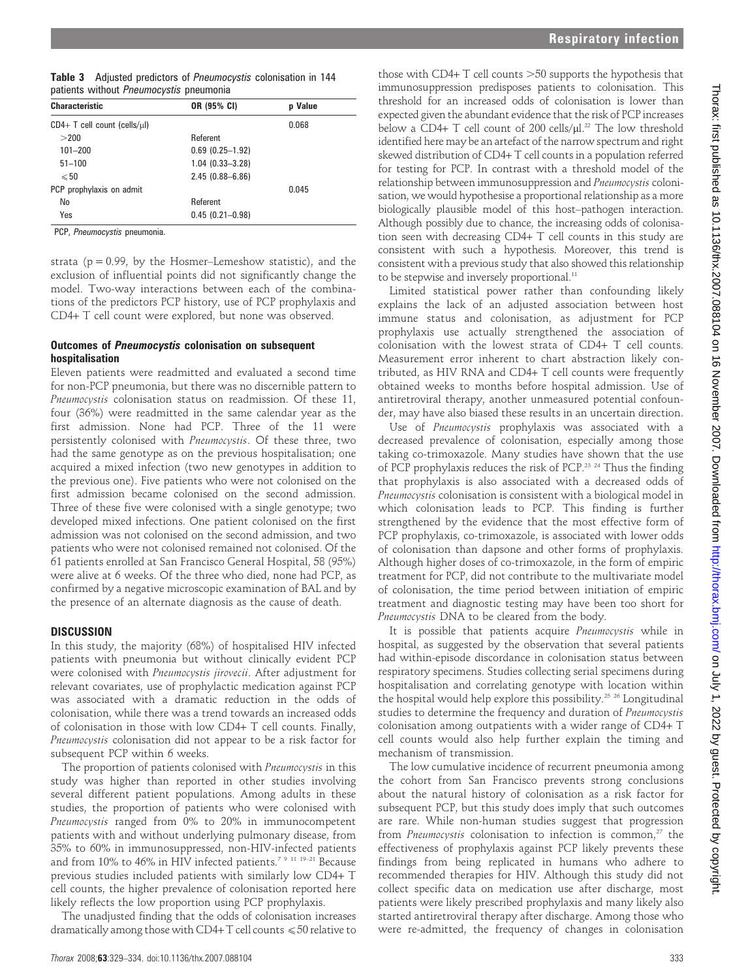|                                         |  | <b>Table 3</b> Adjusted predictors of Pneumocystis colonisation in 144 |  |  |
|-----------------------------------------|--|------------------------------------------------------------------------|--|--|
| patients without Pneumocystis pneumonia |  |                                                                        |  |  |

| <b>Characteristic</b>               | OR (95% CI)            | <b>p</b> Value |  |  |
|-------------------------------------|------------------------|----------------|--|--|
| $CD4+T$ cell count (cells/ $\mu$ l) |                        | 0.068          |  |  |
| >200                                | Referent               |                |  |  |
| $101 - 200$                         | $0.69$ $(0.25 - 1.92)$ |                |  |  |
| $51 - 100$                          | $1.04(0.33 - 3.28)$    |                |  |  |
| $\leqslant 50$                      | $2.45(0.88 - 6.86)$    |                |  |  |
| PCP prophylaxis on admit            |                        | 0.045          |  |  |
| No                                  | Referent               |                |  |  |
| Yes                                 | $0.45(0.21 - 0.98)$    |                |  |  |

PCP, Pneumocystis pneumonia.

strata ( $p = 0.99$ , by the Hosmer–Lemeshow statistic), and the exclusion of influential points did not significantly change the model. Two-way interactions between each of the combinations of the predictors PCP history, use of PCP prophylaxis and CD4+ T cell count were explored, but none was observed.

#### Outcomes of Pneumocystis colonisation on subsequent hospitalisation

Eleven patients were readmitted and evaluated a second time for non-PCP pneumonia, but there was no discernible pattern to Pneumocystis colonisation status on readmission. Of these 11, four (36%) were readmitted in the same calendar year as the first admission. None had PCP. Three of the 11 were persistently colonised with Pneumocystis. Of these three, two had the same genotype as on the previous hospitalisation; one acquired a mixed infection (two new genotypes in addition to the previous one). Five patients who were not colonised on the first admission became colonised on the second admission. Three of these five were colonised with a single genotype; two developed mixed infections. One patient colonised on the first admission was not colonised on the second admission, and two patients who were not colonised remained not colonised. Of the 61 patients enrolled at San Francisco General Hospital, 58 (95%) were alive at 6 weeks. Of the three who died, none had PCP, as confirmed by a negative microscopic examination of BAL and by the presence of an alternate diagnosis as the cause of death.

#### **DISCUSSION**

In this study, the majority (68%) of hospitalised HIV infected patients with pneumonia but without clinically evident PCP were colonised with Pneumocystis jirovecii. After adjustment for relevant covariates, use of prophylactic medication against PCP was associated with a dramatic reduction in the odds of colonisation, while there was a trend towards an increased odds of colonisation in those with low CD4+ T cell counts. Finally, Pneumocystis colonisation did not appear to be a risk factor for subsequent PCP within 6 weeks.

The proportion of patients colonised with *Pneumocystis* in this study was higher than reported in other studies involving several different patient populations. Among adults in these studies, the proportion of patients who were colonised with Pneumocystis ranged from 0% to 20% in immunocompetent patients with and without underlying pulmonary disease, from 35% to 60% in immunosuppressed, non-HIV-infected patients and from 10% to 46% in HIV infected patients.<sup>7 9 11 19-21</sup> Because previous studies included patients with similarly low CD4+ T cell counts, the higher prevalence of colonisation reported here likely reflects the low proportion using PCP prophylaxis.

The unadjusted finding that the odds of colonisation increases dramatically among those with CD4+ T cell counts  $\leq 50$  relative to

those with CD4+ T cell counts  $>50$  supports the hypothesis that immunosuppression predisposes patients to colonisation. This threshold for an increased odds of colonisation is lower than expected given the abundant evidence that the risk of PCP increases below a CD4+ T cell count of 200 cells/ $\mu$ l.<sup>22</sup> The low threshold identified here may be an artefact of the narrow spectrum and right skewed distribution of CD4+ T cell counts in a population referred for testing for PCP. In contrast with a threshold model of the relationship between immunosuppression and Pneumocystis colonisation, we would hypothesise a proportional relationship as a more biologically plausible model of this host–pathogen interaction. Although possibly due to chance, the increasing odds of colonisation seen with decreasing CD4+ T cell counts in this study are consistent with such a hypothesis. Moreover, this trend is consistent with a previous study that also showed this relationship to be stepwise and inversely proportional.<sup>11</sup>

Limited statistical power rather than confounding likely explains the lack of an adjusted association between host immune status and colonisation, as adjustment for PCP prophylaxis use actually strengthened the association of colonisation with the lowest strata of CD4+ T cell counts. Measurement error inherent to chart abstraction likely contributed, as HIV RNA and CD4+ T cell counts were frequently obtained weeks to months before hospital admission. Use of antiretroviral therapy, another unmeasured potential confounder, may have also biased these results in an uncertain direction.

Use of Pneumocystis prophylaxis was associated with a decreased prevalence of colonisation, especially among those taking co-trimoxazole. Many studies have shown that the use of PCP prophylaxis reduces the risk of PCP.23 24 Thus the finding that prophylaxis is also associated with a decreased odds of Pneumocystis colonisation is consistent with a biological model in which colonisation leads to PCP. This finding is further strengthened by the evidence that the most effective form of PCP prophylaxis, co-trimoxazole, is associated with lower odds of colonisation than dapsone and other forms of prophylaxis. Although higher doses of co-trimoxazole, in the form of empiric treatment for PCP, did not contribute to the multivariate model of colonisation, the time period between initiation of empiric treatment and diagnostic testing may have been too short for Pneumocystis DNA to be cleared from the body.

It is possible that patients acquire *Pneumocystis* while in hospital, as suggested by the observation that several patients had within-episode discordance in colonisation status between respiratory specimens. Studies collecting serial specimens during hospitalisation and correlating genotype with location within the hospital would help explore this possibility.<sup>25 26</sup> Longitudinal studies to determine the frequency and duration of Pneumocystis colonisation among outpatients with a wider range of CD4+ T cell counts would also help further explain the timing and mechanism of transmission.

The low cumulative incidence of recurrent pneumonia among the cohort from San Francisco prevents strong conclusions about the natural history of colonisation as a risk factor for subsequent PCP, but this study does imply that such outcomes are rare. While non-human studies suggest that progression from *Pneumocystis* colonisation to infection is common, $27$  the effectiveness of prophylaxis against PCP likely prevents these findings from being replicated in humans who adhere to recommended therapies for HIV. Although this study did not collect specific data on medication use after discharge, most patients were likely prescribed prophylaxis and many likely also started antiretroviral therapy after discharge. Among those who were re-admitted, the frequency of changes in colonisation

Thorax: first published as 10.1136/thx.2007.088104 on 16 November 2007. Downloaded from http://thorax.bmj.com/ on July 1, 2022 by guest. Protected by copyright on July 1, 2022 by guest. Protected by copyright. <http://thorax.bmj.com/> Thorax: first published as 10.1136/thx.2007.088104 on 16 November 2007. Downloaded from